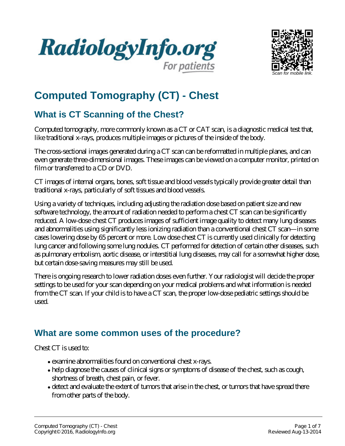



# **Computed Tomography (CT) - Chest**

## **What is CT Scanning of the Chest?**

Computed tomography, more commonly known as a CT or CAT scan, is a diagnostic medical test that, like traditional x-rays, produces multiple images or pictures of the inside of the body.

The cross-sectional images generated during a CT scan can be reformatted in multiple planes, and can even generate three-dimensional images. These images can be viewed on a computer monitor, printed on film or transferred to a CD or DVD.

CT images of internal organs, bones, soft tissue and blood vessels typically provide greater detail than traditional x-rays, particularly of soft tissues and blood vessels.

Using a variety of techniques, including adjusting the radiation dose based on patient size and new software technology, the amount of radiation needed to perform a chest CT scan can be significantly reduced. A low-dose chest CT produces images of sufficient image quality to detect many lung diseases and abnormalities using significantly less ionizing radiation than a conventional chest CT scan—in some cases lowering dose by 65 percent or more. Low dose chest CT is currently used clinically for detecting lung cancer and following some lung nodules. CT performed for detection of certain other diseases, such as pulmonary embolism, aortic disease, or interstitial lung diseases, may call for a somewhat higher dose, but certain dose-saving measures may still be used.

There is ongoing research to lower radiation doses even further. Your radiologist will decide the proper settings to be used for your scan depending on your medical problems and what information is needed from the CT scan. If your child is to have a CT scan, the proper low-dose pediatric settings should be used.

### **What are some common uses of the procedure?**

Chest CT is used to:

- examine abnormalities found on conventional chest x-rays.
- help diagnose the causes of clinical signs or symptoms of disease of the chest, such as cough, shortness of breath, chest pain, or fever.
- detect and evaluate the extent of tumors that arise in the chest, or tumors that have spread there from other parts of the body.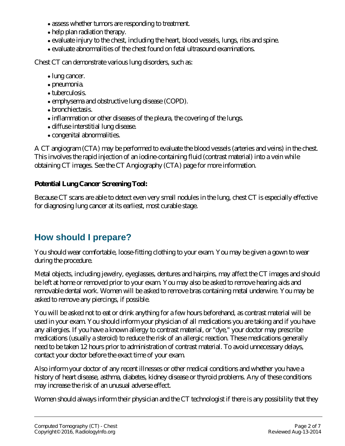- assess whether tumors are responding to treatment.
- help plan radiation therapy.
- evaluate injury to the chest, including the heart, blood vessels, lungs, ribs and spine.
- evaluate abnormalities of the chest found on fetal ultrasound examinations.

Chest CT can demonstrate various lung disorders, such as:

- lung cancer.
- pneumonia.
- tuberculosis.
- emphysema and obstructive lung disease (COPD).
- bronchiectasis.
- inflammation or other diseases of the pleura, the covering of the lungs.
- diffuse interstitial lung disease.
- congenital abnormalities.

A CT angiogram (CTA) may be performed to evaluate the blood vessels (arteries and veins) in the chest. This involves the rapid injection of an iodine-containing fluid (contrast material) into a vein while obtaining CT images. See the CT Angiography (CTA) page for more information.

#### **Potential Lung Cancer Screening Tool:**

Because CT scans are able to detect even very small nodules in the lung, chest CT is especially effective for diagnosing lung cancer at its earliest, most curable stage.

# **How should I prepare?**

You should wear comfortable, loose-fitting clothing to your exam. You may be given a gown to wear during the procedure.

Metal objects, including jewelry, eyeglasses, dentures and hairpins, may affect the CT images and should be left at home or removed prior to your exam. You may also be asked to remove hearing aids and removable dental work. Women will be asked to remove bras containing metal underwire. You may be asked to remove any piercings, if possible.

You will be asked not to eat or drink anything for a few hours beforehand, as contrast material will be used in your exam. You should inform your physician of all medications you are taking and if you have any allergies. If you have a known allergy to contrast material, or "dye," your doctor may prescribe medications (usually a steroid) to reduce the risk of an allergic reaction. These medications generally need to be taken 12 hours prior to administration of contrast material. To avoid unnecessary delays, contact your doctor before the exact time of your exam.

Also inform your doctor of any recent illnesses or other medical conditions and whether you have a history of heart disease, asthma, diabetes, kidney disease or thyroid problems. Any of these conditions may increase the risk of an unusual adverse effect.

Women should always inform their physician and the CT technologist if there is any possibility that they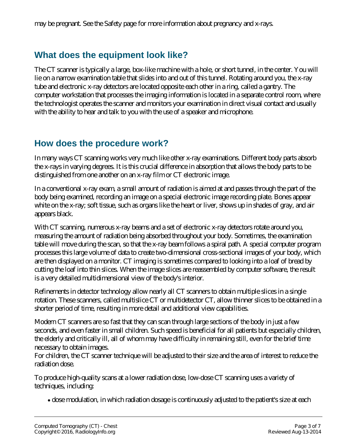### **What does the equipment look like?**

The CT scanner is typically a large, box-like machine with a hole, or short tunnel, in the center. You will lie on a narrow examination table that slides into and out of this tunnel. Rotating around you, the x-ray tube and electronic x-ray detectors are located opposite each other in a ring, called a gantry. The computer workstation that processes the imaging information is located in a separate control room, where the technologist operates the scanner and monitors your examination in direct visual contact and usually with the ability to hear and talk to you with the use of a speaker and microphone.

#### **How does the procedure work?**

In many ways CT scanning works very much like other x-ray examinations. Different body parts absorb the x-rays in varying degrees. It is this crucial difference in absorption that allows the body parts to be distinguished from one another on an x-ray film or CT electronic image.

In a conventional x-ray exam, a small amount of radiation is aimed at and passes through the part of the body being examined, recording an image on a special electronic image recording plate. Bones appear white on the x-ray; soft tissue, such as organs like the heart or liver, shows up in shades of gray, and air appears black.

With CT scanning, numerous x-ray beams and a set of electronic x-ray detectors rotate around you, measuring the amount of radiation being absorbed throughout your body. Sometimes, the examination table will move during the scan, so that the x-ray beam follows a spiral path. A special computer program processes this large volume of data to create two-dimensional cross-sectional images of your body, which are then displayed on a monitor. CT imaging is sometimes compared to looking into a loaf of bread by cutting the loaf into thin slices. When the image slices are reassembled by computer software, the result is a very detailed multidimensional view of the body's interior.

Refinements in detector technology allow nearly all CT scanners to obtain multiple slices in a single rotation. These scanners, called multislice CT or multidetector CT, allow thinner slices to be obtained in a shorter period of time, resulting in more detail and additional view capabilities.

Modern CT scanners are so fast that they can scan through large sections of the body in just a few seconds, and even faster in small children. Such speed is beneficial for all patients but especially children, the elderly and critically ill, all of whom may have difficulty in remaining still, even for the brief time necessary to obtain images.

For children, the CT scanner technique will be adjusted to their size and the area of interest to reduce the radiation dose.

To produce high-quality scans at a lower radiation dose, low-dose CT scanning uses a variety of techniques, including:

dose modulation, in which radiation dosage is continuously adjusted to the patient's size at each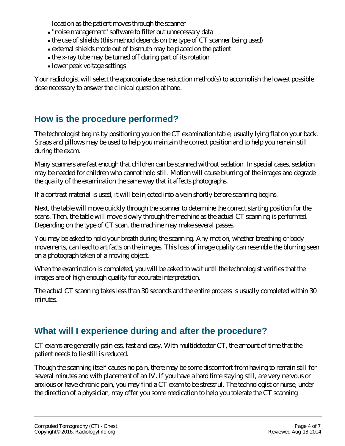location as the patient moves through the scanner

- "noise management" software to filter out unnecessary data
- the use of shields (this method depends on the type of CT scanner being used)
- external shields made out of bismuth may be placed on the patient
- the x-ray tube may be turned off during part of its rotation
- lower peak voltage settings

Your radiologist will select the appropriate dose reduction method(s) to accomplish the lowest possible dose necessary to answer the clinical question at hand.

### **How is the procedure performed?**

The technologist begins by positioning you on the CT examination table, usually lying flat on your back. Straps and pillows may be used to help you maintain the correct position and to help you remain still during the exam.

Many scanners are fast enough that children can be scanned without sedation. In special cases, sedation may be needed for children who cannot hold still. Motion will cause blurring of the images and degrade the quality of the examination the same way that it affects photographs.

If a contrast material is used, it will be injected into a vein shortly before scanning begins.

Next, the table will move quickly through the scanner to determine the correct starting position for the scans. Then, the table will move slowly through the machine as the actual CT scanning is performed. Depending on the type of CT scan, the machine may make several passes.

You may be asked to hold your breath during the scanning. Any motion, whether breathing or body movements, can lead to artifacts on the images. This loss of image quality can resemble the blurring seen on a photograph taken of a moving object.

When the examination is completed, you will be asked to wait until the technologist verifies that the images are of high enough quality for accurate interpretation.

The actual CT scanning takes less than 30 seconds and the entire process is usually completed within 30 minutes.

### **What will I experience during and after the procedure?**

CT exams are generally painless, fast and easy. With multidetector CT, the amount of time that the patient needs to lie still is reduced.

Though the scanning itself causes no pain, there may be some discomfort from having to remain still for several minutes and with placement of an IV. If you have a hard time staying still, are very nervous or anxious or have chronic pain, you may find a CT exam to be stressful. The technologist or nurse, under the direction of a physician, may offer you some medication to help you tolerate the CT scanning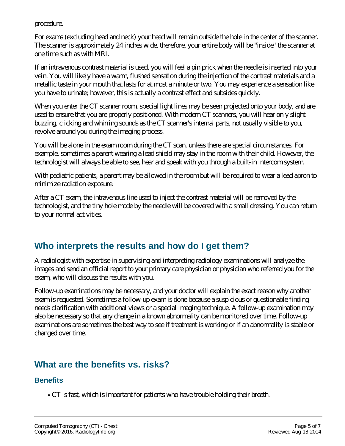procedure.

For exams (excluding head and neck) your head will remain outside the hole in the center of the scanner. The scanner is approximately 24 inches wide, therefore, your entire body will be "inside" the scanner at one time such as with MRI.

If an intravenous contrast material is used, you will feel a pin prick when the needle is inserted into your vein. You will likely have a warm, flushed sensation during the injection of the contrast materials and a metallic taste in your mouth that lasts for at most a minute or two. You may experience a sensation like you have to urinate; however, this is actually a contrast effect and subsides quickly.

When you enter the CT scanner room, special light lines may be seen projected onto your body, and are used to ensure that you are properly positioned. With modern CT scanners, you will hear only slight buzzing, clicking and whirring sounds as the CT scanner's internal parts, not usually visible to you, revolve around you during the imaging process.

You will be alone in the exam room during the CT scan, unless there are special circumstances. For example, sometimes a parent wearing a lead shield may stay in the room with their child. However, the technologist will always be able to see, hear and speak with you through a built-in intercom system.

With pediatric patients, a parent may be allowed in the room but will be required to wear a lead apron to minimize radiation exposure.

After a CT exam, the intravenous line used to inject the contrast material will be removed by the technologist, and the tiny hole made by the needle will be covered with a small dressing. You can return to your normal activities.

### **Who interprets the results and how do I get them?**

A radiologist with expertise in supervising and interpreting radiology examinations will analyze the images and send an official report to your primary care physician or physician who referred you for the exam, who will discuss the results with you.

Follow-up examinations may be necessary, and your doctor will explain the exact reason why another exam is requested. Sometimes a follow-up exam is done because a suspicious or questionable finding needs clarification with additional views or a special imaging technique. A follow-up examination may also be necessary so that any change in a known abnormality can be monitored over time. Follow-up examinations are sometimes the best way to see if treatment is working or if an abnormality is stable or changed over time.

### **What are the benefits vs. risks?**

#### **Benefits**

CT is fast, which is important for patients who have trouble holding their breath.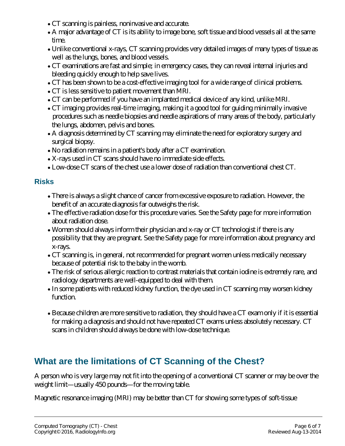- CT scanning is painless, noninvasive and accurate.
- A major advantage of CT is its ability to image bone, soft tissue and blood vessels all at the same time.
- Unlike conventional x-rays, CT scanning provides very detailed images of many types of tissue as well as the lungs, bones, and blood vessels.
- CT examinations are fast and simple; in emergency cases, they can reveal internal injuries and bleeding quickly enough to help save lives.
- CT has been shown to be a cost-effective imaging tool for a wide range of clinical problems.
- CT is less sensitive to patient movement than MRI.
- CT can be performed if you have an implanted medical device of any kind, unlike MRI.
- CT imaging provides real-time imaging, making it a good tool for guiding minimally invasive procedures such as needle biopsies and needle aspirations of many areas of the body, particularly the lungs, abdomen, pelvis and bones.
- A diagnosis determined by CT scanning may eliminate the need for exploratory surgery and surgical biopsy.
- No radiation remains in a patient's body after a CT examination.
- X-rays used in CT scans should have no immediate side effects.
- Low-dose CT scans of the chest use a lower dose of radiation than conventional chest CT.

#### **Risks**

- There is always a slight chance of cancer from excessive exposure to radiation. However, the benefit of an accurate diagnosis far outweighs the risk.
- The effective radiation dose for this procedure varies. See the Safety page for more information about radiation dose.
- Women should always inform their physician and x-ray or CT technologist if there is any possibility that they are pregnant. See the Safety page for more information about pregnancy and x-rays.
- CT scanning is, in general, not recommended for pregnant women unless medically necessary because of potential risk to the baby in the womb.
- The risk of serious allergic reaction to contrast materials that contain iodine is extremely rare, and radiology departments are well-equipped to deal with them.
- In some patients with reduced kidney function, the dye used in CT scanning may worsen kidney function.
- Because children are more sensitive to radiation, they should have a CT exam only if it is essential for making a diagnosis and should not have repeated CT exams unless absolutely necessary. CT scans in children should always be done with low-dose technique.

### **What are the limitations of CT Scanning of the Chest?**

A person who is very large may not fit into the opening of a conventional CT scanner or may be over the weight limit—usually 450 pounds—for the moving table.

Magnetic resonance imaging (MRI) may be better than CT for showing some types of soft-tissue